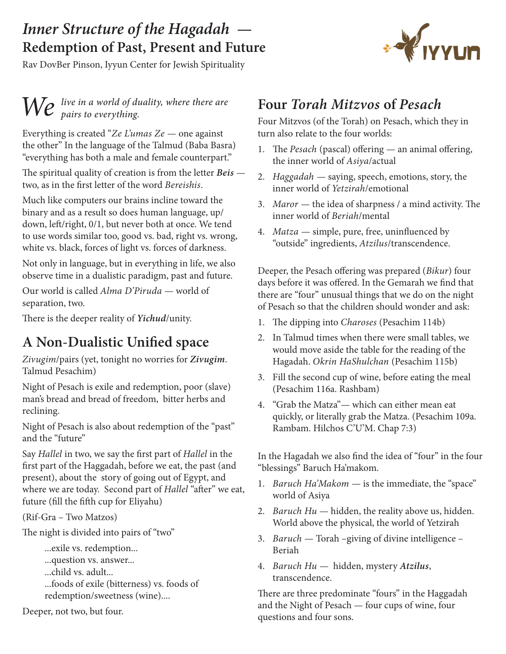### *Inner Structure of the Hagadah* **— Redemption of Past, Present and Future**

Rav DovBer Pinson, Iyyun Center for Jewish Spirituality

# *We live in a world of duality, where there are pairs to everything.*

Everything is created "*Ze L'umas Ze* — one against the other" In the language of the Talmud (Baba Basra) "everything has both a male and female counterpart."

The spiritual quality of creation is from the letter *Beis*  two, as in the first letter of the word *Bereishis*.

Much like computers our brains incline toward the binary and as a result so does human language, up/ down, left/right, 0/1, but never both at once. We tend to use words similar too, good vs. bad, right vs. wrong, white vs. black, forces of light vs. forces of darkness.

Not only in language, but in everything in life, we also observe time in a dualistic paradigm, past and future.

Our world is called *Alma D'Piruda* — world of separation, two.

There is the deeper reality of *Yichud*/unity.

### **A Non-Dualistic Unified space**

*Zivugim*/pairs (yet, tonight no worries for *Zivugim*. Talmud Pesachim)

Night of Pesach is exile and redemption, poor (slave) man's bread and bread of freedom, bitter herbs and reclining.

Night of Pesach is also about redemption of the "past" and the "future"

Say *Hallel* in two, we say the first part of *Hallel* in the first part of the Haggadah, before we eat, the past (and present), about the story of going out of Egypt, and where we are today. Second part of *Hallel* "after" we eat, future (fill the fifth cup for Eliyahu)

(Rif-Gra – Two Matzos)

The night is divided into pairs of "two"

...exile vs. redemption...

...question vs. answer...

...child vs. adult...

...foods of exile (bitterness) vs. foods of redemption/sweetness (wine)....

Deeper, not two, but four.

### **Four** *Torah Mitzvos* **of** *Pesach*

Four Mitzvos (of the Torah) on Pesach, which they in turn also relate to the four worlds:

- 1. The *Pesach* (pascal) offering an animal offering, the inner world of *Asiya*/actual
- 2. *Haggadah*  saying, speech, emotions, story, the inner world of *Yetzirah*/emotional
- 3. *Maror*  the idea of sharpness / a mind activity. The inner world of *Beriah*/mental
- 4. *Matza*  simple, pure, free, uninfluenced by "outside" ingredients, *Atzilus*/transcendence.

Deeper, the Pesach offering was prepared (*Bikur*) four days before it was offered. In the Gemarah we find that there are "four" unusual things that we do on the night of Pesach so that the children should wonder and ask:

- 1. The dipping into *Charoses* (Pesachim 114b)
- 2. In Talmud times when there were small tables, we would move aside the table for the reading of the Hagadah. *Okrin HaShulchan* (Pesachim 115b)
- 3. Fill the second cup of wine, before eating the meal (Pesachim 116a. Rashbam)
- 4. "Grab the Matza"— which can either mean eat quickly, or literally grab the Matza. (Pesachim 109a. Rambam. Hilchos C'U'M. Chap 7:3)

In the Hagadah we also find the idea of "four" in the four "blessings" Baruch Ha'makom.

- 1. *Baruch Ha'Makom*  is the immediate, the "space" world of Asiya
- 2. *Baruch Hu* hidden, the reality above us, hidden. World above the physical, the world of Yetzirah
- 3. *Baruch*  Torah –giving of divine intelligence Beriah
- 4. *Baruch Hu*  hidden, mystery *Atzilus*, transcendence.

There are three predominate "fours" in the Haggadah and the Night of Pesach — four cups of wine, four questions and four sons.

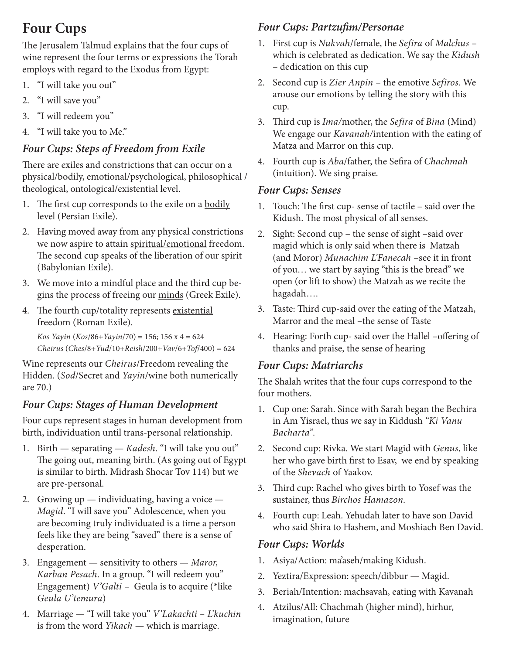## **Four Cups**

The Jerusalem Talmud explains that the four cups of wine represent the four terms or expressions the Torah employs with regard to the Exodus from Egypt:

- 1. "I will take you out"
- 2. "I will save you"
- 3. "I will redeem you"
- 4. "I will take you to Me."

#### *Four Cups: Steps of Freedom from Exile*

There are exiles and constrictions that can occur on a physical/bodily, emotional/psychological, philosophical / theological, ontological/existential level.

- 1. The first cup corresponds to the exile on a bodily level (Persian Exile).
- 2. Having moved away from any physical constrictions we now aspire to attain spiritual/emotional freedom. The second cup speaks of the liberation of our spirit (Babylonian Exile).
- 3. We move into a mindful place and the third cup begins the process of freeing our minds (Greek Exile).
- 4. The fourth cup/totality represents existential freedom (Roman Exile).

*Kos Yayin* (*Kos*/86+*Yayin*/70) = 156; 156 x 4 = 624 *Cheirus* (*Ches*/8+*Yud*/10+*Reish*/200+*Vav*/6+*Tof*/400) = 624

Wine represents our *Cheirus*/Freedom revealing the Hidden. (*Sod*/Secret and *Yayin*/wine both numerically are 70.)

#### *Four Cups: Stages of Human Development*

Four cups represent stages in human development from birth, individuation until trans-personal relationship.

- 1. Birth separating *Kadesh*. "I will take you out" The going out, meaning birth. (As going out of Egypt is similar to birth. Midrash Shocar Tov 114) but we are pre-personal.
- 2. Growing  $up$  individuating, having a voice *Magid*. "I will save you" Adolescence, when you are becoming truly individuated is a time a person feels like they are being "saved" there is a sense of desperation.
- 3. Engagement sensitivity to others *Maror, Karban Pesach*. In a group. "I will redeem you" Engagement) *V'Galti* – Geula is to acquire (\*like *Geula U'temura*)
- 4. Marriage "I will take you" *V'Lakachti L'kuchin*  is from the word *Yikach* — which is marriage.

#### *Four Cups: Partzufim/Personae*

- 1. First cup is *Nukvah*/female, the *Sefira* of *Malchus*  which is celebrated as dedication. We say the *Kidush* – dedication on this cup
- 2. Second cup is *Zier Anpin*  the emotive *Sefiros*. We arouse our emotions by telling the story with this cup.
- 3. Third cup is *Ima/*mother, the *Sefira* of *Bina* (Mind) We engage our *Kavanah/*intention with the eating of Matza and Marror on this cup.
- 4. Fourth cup is *Aba*/father, the Sefira of *Chachmah* (intuition). We sing praise.

#### *Four Cups: Senses*

- 1. Touch: The first cup- sense of tactile said over the Kidush. The most physical of all senses.
- 2. Sight: Second cup the sense of sight –said over magid which is only said when there is Matzah (and Moror) *Munachim L'Fanecah* –see it in front of you… we start by saying "this is the bread" we open (or lift to show) the Matzah as we recite the hagadah….
- 3. Taste: Third cup-said over the eating of the Matzah, Marror and the meal –the sense of Taste
- 4. Hearing: Forth cup- said over the Hallel –offering of thanks and praise, the sense of hearing

#### *Four Cups: Matriarchs*

The Shalah writes that the four cups correspond to the four mothers.

- 1. Cup one: Sarah. Since with Sarah began the Bechira in Am Yisrael, thus we say in Kiddush *"Ki Vanu Bacharta".*
- 2. Second cup: Rivka. We start Magid with *Genus*, like her who gave birth first to Esav, we end by speaking of the *Shevach* of Yaakov.
- 3. Third cup: Rachel who gives birth to Yosef was the sustainer, thus *Birchos Hamazon.*
- 4. Fourth cup: Leah. Yehudah later to have son David who said Shira to Hashem, and Moshiach Ben David.

#### *Four Cups: Worlds*

- 1. Asiya/Action: ma'aseh/making Kidush.
- 2. Yeztira/Expression: speech/dibbur Magid.
- 3. Beriah/Intention: machsavah, eating with Kavanah
- 4. Atzilus/All: Chachmah (higher mind), hirhur, imagination, future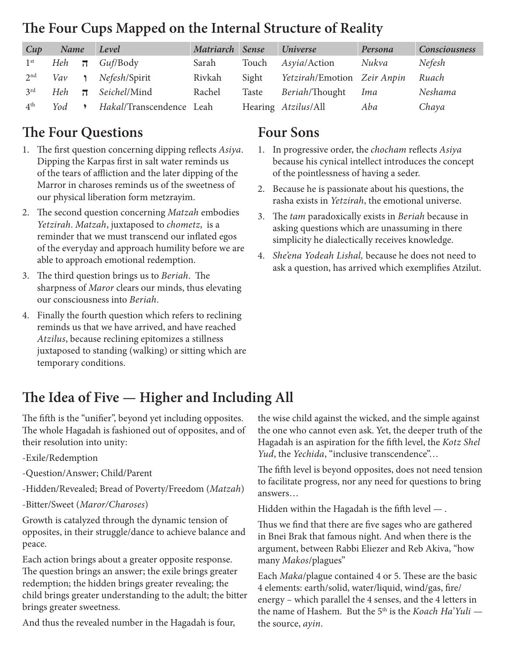### **The Four Cups Mapped on the Internal Structure of Reality**

| Cup             | Name      |                         | Level                    | Matriarch Sense |       | <b>Universe</b>             | Persona | <b>Consciousness</b> |
|-----------------|-----------|-------------------------|--------------------------|-----------------|-------|-----------------------------|---------|----------------------|
| 1 <sup>st</sup> | Heh $\pi$ |                         | Guf/Body                 | Sarah           | Touch | Asyia/Action                | Nukva   | Nefesh               |
| 2 <sup>nd</sup> | Vav       |                         | Nefesh/Spirit            | Rivkah          | Sight | Yetzirah/Emotion Zeir Anpin |         | Ruach                |
| 3 <sup>rd</sup> | Heh       | $\overline{\mathbf{u}}$ | Seichel/Mind             | Rachel          | Taste | <i>Beriah</i> /Thought      | Ima     | Neshama              |
| 4 <sup>th</sup> | Yod       |                         | Hakal/Transcendence Leah |                 |       | Hearing Atzilus/All         | Aba     | Chaya                |

### **The Four Questions**

- 1. The first question concerning dipping reflects *Asiya*. Dipping the Karpas first in salt water reminds us of the tears of affliction and the later dipping of the Marror in charoses reminds us of the sweetness of our physical liberation form metzrayim.
- 2. The second question concerning *Matzah* embodies *Yetzirah*. *Matzah*, juxtaposed to *chometz*, is a reminder that we must transcend our inflated egos of the everyday and approach humility before we are able to approach emotional redemption.
- 3. The third question brings us to *Beriah*. The sharpness of *Maror* clears our minds, thus elevating our consciousness into *Beriah*.
- 4. Finally the fourth question which refers to reclining reminds us that we have arrived, and have reached *Atzilus*, because reclining epitomizes a stillness juxtaposed to standing (walking) or sitting which are temporary conditions.

### **Four Sons**

- 1. In progressive order, the *chocham* reflects *Asiya* because his cynical intellect introduces the concept of the pointlessness of having a seder.
- 2. Because he is passionate about his questions, the rasha exists in *Yetzirah*, the emotional universe.
- 3. The *tam* paradoxically exists in *Beriah* because in asking questions which are unassuming in there simplicity he dialectically receives knowledge.
- 4. *She'ena Yodeah Lishal,* because he does not need to ask a question, has arrived which exemplifies Atzilut.

### **The Idea of Five — Higher and Including All**

The fifth is the "unifier", beyond yet including opposites. The whole Hagadah is fashioned out of opposites, and of their resolution into unity:

- -Exile/Redemption
- -Question/Answer; Child/Parent
- -Hidden/Revealed; Bread of Poverty/Freedom (*Matzah*)
- -Bitter/Sweet (*Maror/Charoses*)

Growth is catalyzed through the dynamic tension of opposites, in their struggle/dance to achieve balance and peace.

Each action brings about a greater opposite response. The question brings an answer; the exile brings greater redemption; the hidden brings greater revealing; the child brings greater understanding to the adult; the bitter brings greater sweetness.

And thus the revealed number in the Hagadah is four,

the wise child against the wicked, and the simple against the one who cannot even ask. Yet, the deeper truth of the Hagadah is an aspiration for the fifth level, the *Kotz Shel Yud*, the *Yechida*, "inclusive transcendence"…

The fifth level is beyond opposites, does not need tension to facilitate progress, nor any need for questions to bring answers…

Hidden within the Hagadah is the fifth level — .

Thus we find that there are five sages who are gathered in Bnei Brak that famous night. And when there is the argument, between Rabbi Eliezer and Reb Akiva, "how many *Makos*/plagues"

Each *Maka*/plague contained 4 or 5. These are the basic 4 elements: earth/solid, water/liquid, wind/gas, fire/ energy – which parallel the 4 senses, and the 4 letters in the name of Hashem. But the 5<sup>th</sup> is the *Koach Ha'Yuli* the source, *ayin*.